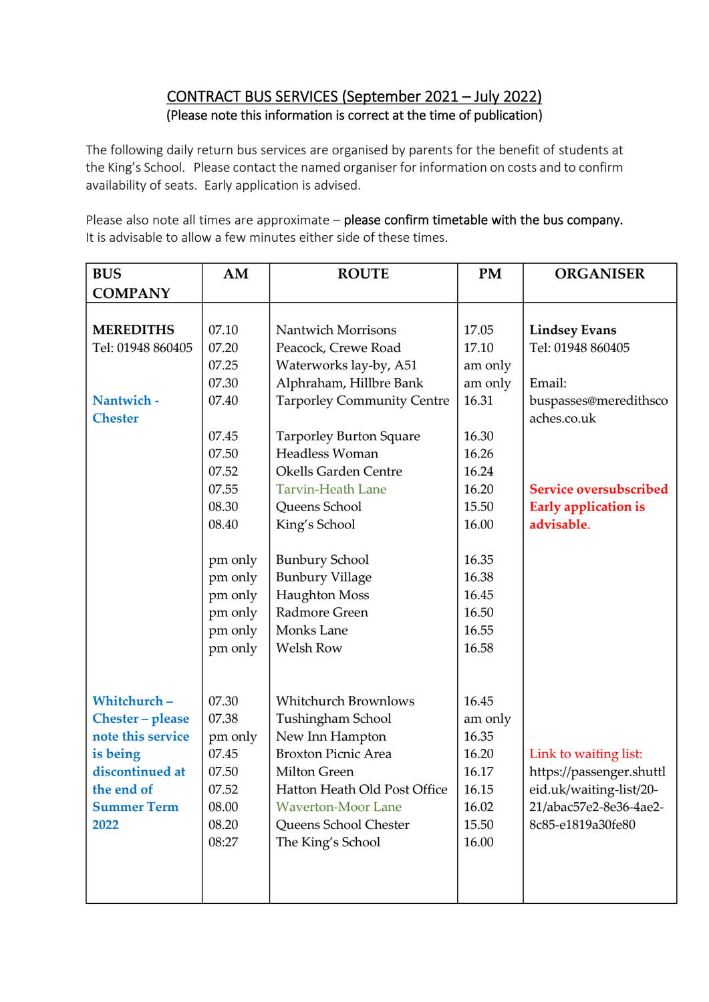## CONTRACT BUS SERVICES (September 2021 – July 2022) (Please note this information is correct at the time of publication)

The following daily return bus services are organised by parents for the benefit of students at the King's School. Please contact the named organiser for information on costs and to confirm availability of seats. Early application is advised.

Please also note all times are approximate – please confirm timetable with the bus company. It is advisable to allow a few minutes either side of these times.

| <b>BUS</b>         | AM      | <b>ROUTE</b>                      | PM      | <b>ORGANISER</b>              |
|--------------------|---------|-----------------------------------|---------|-------------------------------|
| <b>COMPANY</b>     |         |                                   |         |                               |
|                    |         |                                   |         |                               |
| <b>MEREDITHS</b>   | 07.10   | <b>Nantwich Morrisons</b>         | 17.05   | <b>Lindsey Evans</b>          |
| Tel: 01948 860405  | 07.20   | Peacock, Crewe Road               | 17.10   | Tel: 01948 860405             |
|                    | 07.25   | Waterworks lay-by, A51            | am only |                               |
|                    | 07.30   | Alphraham, Hillbre Bank           | am only | Email:                        |
| Nantwich -         | 07.40   | <b>Tarporley Community Centre</b> | 16.31   | buspasses@meredithsco         |
| <b>Chester</b>     |         |                                   |         | aches.co.uk                   |
|                    | 07.45   | <b>Tarporley Burton Square</b>    | 16.30   |                               |
|                    | 07.50   | Headless Woman                    | 16.26   |                               |
|                    | 07.52   | <b>Okells Garden Centre</b>       | 16.24   |                               |
|                    | 07.55   | <b>Tarvin-Heath Lane</b>          | 16.20   | <b>Service oversubscribed</b> |
|                    | 08.30   | Queens School                     | 15.50   | <b>Early application is</b>   |
|                    | 08.40   | King's School                     | 16.00   | advisable.                    |
|                    |         |                                   |         |                               |
|                    | pm only | <b>Bunbury School</b>             | 16.35   |                               |
|                    | pm only | <b>Bunbury Village</b>            | 16.38   |                               |
|                    | pm only | <b>Haughton Moss</b>              | 16.45   |                               |
|                    | pm only | Radmore Green                     | 16.50   |                               |
|                    | pm only | Monks Lane                        | 16.55   |                               |
|                    | pm only | Welsh Row                         | 16.58   |                               |
|                    |         |                                   |         |                               |
| Whitchurch-        | 07.30   | <b>Whitchurch Brownlows</b>       | 16.45   |                               |
| Chester - please   | 07.38   | Tushingham School                 | am only |                               |
| note this service  | pm only | New Inn Hampton                   | 16.35   |                               |
| is being           | 07.45   | <b>Broxton Picnic Area</b>        | 16.20   | Link to waiting list:         |
| discontinued at    | 07.50   | Milton Green                      | 16.17   | https://passenger.shuttl      |
| the end of         | 07.52   | Hatton Heath Old Post Office      | 16.15   | eid.uk/waiting-list/20-       |
| <b>Summer Term</b> | 08.00   | <b>Waverton-Moor Lane</b>         | 16.02   | 21/abac57e2-8e36-4ae2-        |
| 2022               | 08.20   | Queens School Chester             | 15.50   | 8c85-e1819a30fe80             |
|                    | 08:27   | The King's School                 | 16.00   |                               |
|                    |         |                                   |         |                               |
|                    |         |                                   |         |                               |
|                    |         |                                   |         |                               |